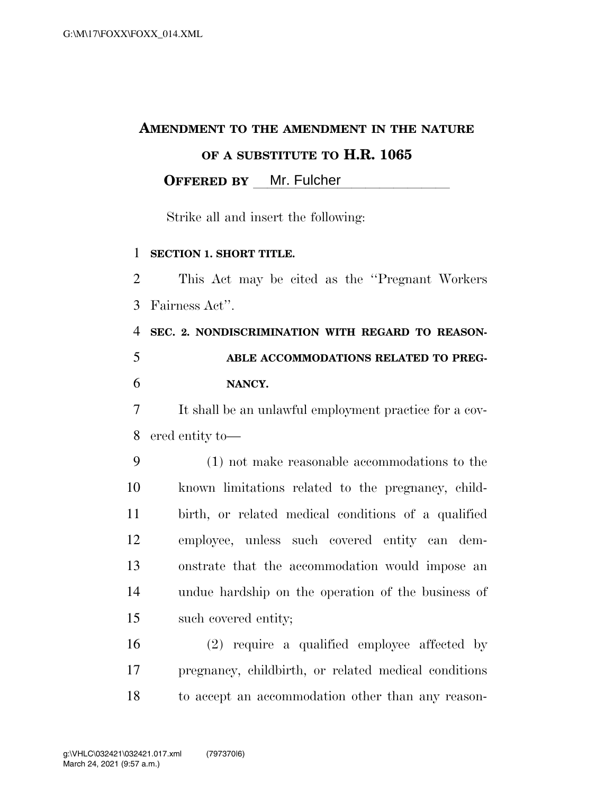## **AMENDMENT TO THE AMENDMENT IN THE NATURE OF A SUBSTITUTE TO H.R. 1065 OFFERED BY** Mr. Fulcher

Strike all and insert the following:

#### **SECTION 1. SHORT TITLE.**

 This Act may be cited as the ''Pregnant Workers Fairness Act''.

# **SEC. 2. NONDISCRIMINATION WITH REGARD TO REASON- ABLE ACCOMMODATIONS RELATED TO PREG-NANCY.**

 It shall be an unlawful employment practice for a cov-ered entity to—

 (1) not make reasonable accommodations to the known limitations related to the pregnancy, child- birth, or related medical conditions of a qualified employee, unless such covered entity can dem- onstrate that the accommodation would impose an undue hardship on the operation of the business of such covered entity;

 (2) require a qualified employee affected by pregnancy, childbirth, or related medical conditions to accept an accommodation other than any reason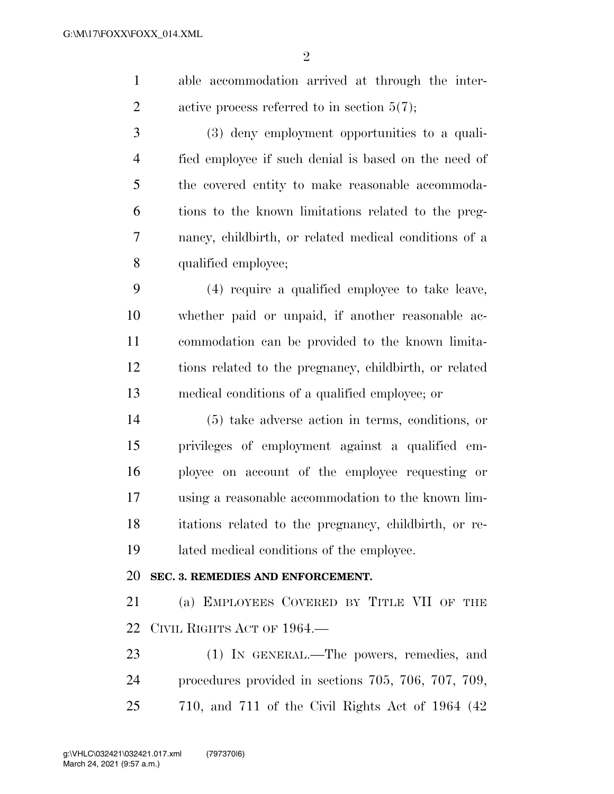$\mathfrak{D}$ 

 able accommodation arrived at through the inter-2 active process referred to in section  $5(7)$ ;

 (3) deny employment opportunities to a quali- fied employee if such denial is based on the need of the covered entity to make reasonable accommoda- tions to the known limitations related to the preg- nancy, childbirth, or related medical conditions of a qualified employee;

 (4) require a qualified employee to take leave, whether paid or unpaid, if another reasonable ac- commodation can be provided to the known limita- tions related to the pregnancy, childbirth, or related medical conditions of a qualified employee; or

 (5) take adverse action in terms, conditions, or privileges of employment against a qualified em- ployee on account of the employee requesting or using a reasonable accommodation to the known lim- itations related to the pregnancy, childbirth, or re-lated medical conditions of the employee.

#### **SEC. 3. REMEDIES AND ENFORCEMENT.**

 (a) EMPLOYEES COVERED BY TITLE VII OF THE CIVIL RIGHTS ACT OF 1964.—

23 (1) IN GENERAL.—The powers, remedies, and procedures provided in sections 705, 706, 707, 709, 710, and 711 of the Civil Rights Act of 1964 (42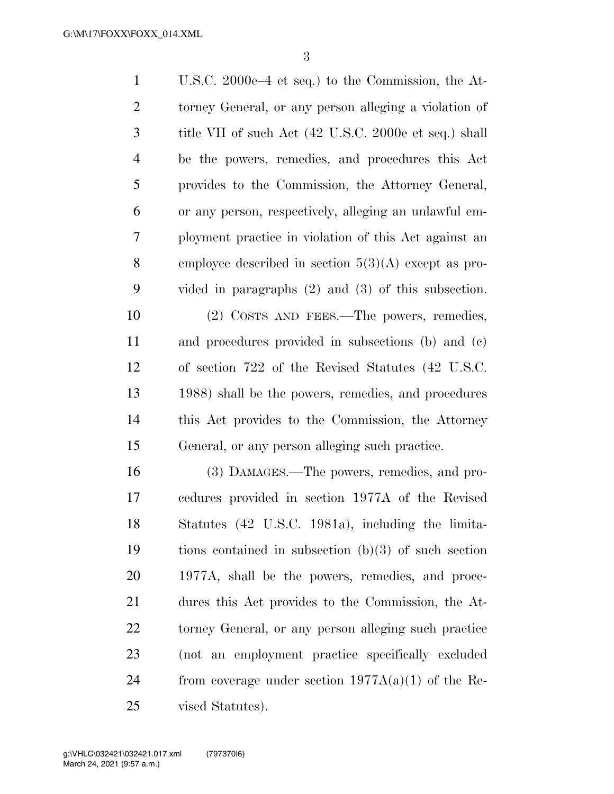U.S.C. 2000e–4 et seq.) to the Commission, the At- torney General, or any person alleging a violation of title VII of such Act (42 U.S.C. 2000e et seq.) shall be the powers, remedies, and procedures this Act provides to the Commission, the Attorney General, or any person, respectively, alleging an unlawful em- ployment practice in violation of this Act against an employee described in section 5(3)(A) except as pro- vided in paragraphs (2) and (3) of this subsection. (2) COSTS AND FEES.—The powers, remedies,

 and procedures provided in subsections (b) and (c) of section 722 of the Revised Statutes (42 U.S.C. 1988) shall be the powers, remedies, and procedures this Act provides to the Commission, the Attorney General, or any person alleging such practice.

 (3) DAMAGES.—The powers, remedies, and pro- cedures provided in section 1977A of the Revised Statutes (42 U.S.C. 1981a), including the limita- tions contained in subsection (b)(3) of such section 1977A, shall be the powers, remedies, and proce- dures this Act provides to the Commission, the At- torney General, or any person alleging such practice (not an employment practice specifically excluded 24 from coverage under section  $1977A(a)(1)$  of the Re-vised Statutes).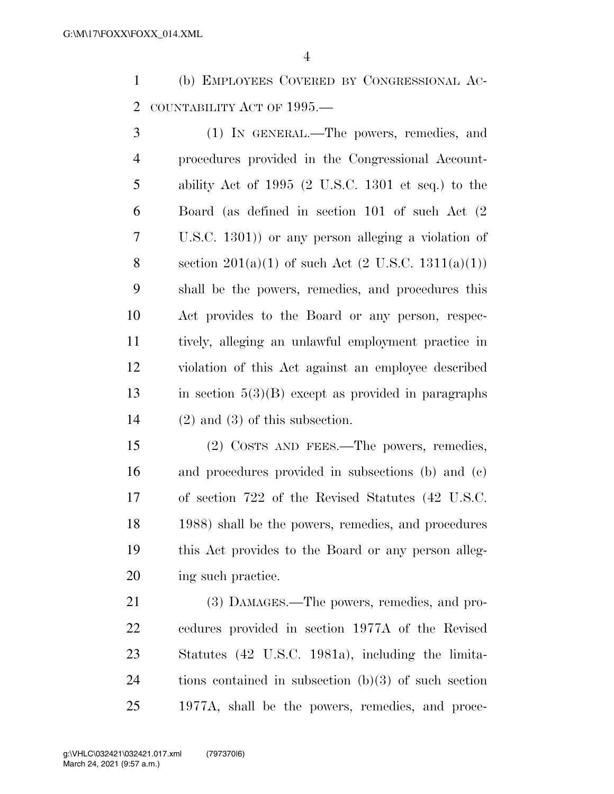(b) EMPLOYEES COVERED BY CONGRESSIONAL AC-COUNTABILITY ACT OF 1995.—

 (1) IN GENERAL.—The powers, remedies, and procedures provided in the Congressional Account- ability Act of 1995 (2 U.S.C. 1301 et seq.) to the Board (as defined in section 101 of such Act (2 U.S.C. 1301)) or any person alleging a violation of 8 section  $201(a)(1)$  of such Act  $(2 \text{ U.S.C. } 1311(a)(1))$  shall be the powers, remedies, and procedures this Act provides to the Board or any person, respec- tively, alleging an unlawful employment practice in violation of this Act against an employee described in section 5(3)(B) except as provided in paragraphs (2) and (3) of this subsection.

 (2) COSTS AND FEES.—The powers, remedies, and procedures provided in subsections (b) and (c) of section 722 of the Revised Statutes (42 U.S.C. 1988) shall be the powers, remedies, and procedures this Act provides to the Board or any person alleg-ing such practice.

 (3) DAMAGES.—The powers, remedies, and pro- cedures provided in section 1977A of the Revised Statutes (42 U.S.C. 1981a), including the limita- tions contained in subsection (b)(3) of such section 1977A, shall be the powers, remedies, and proce-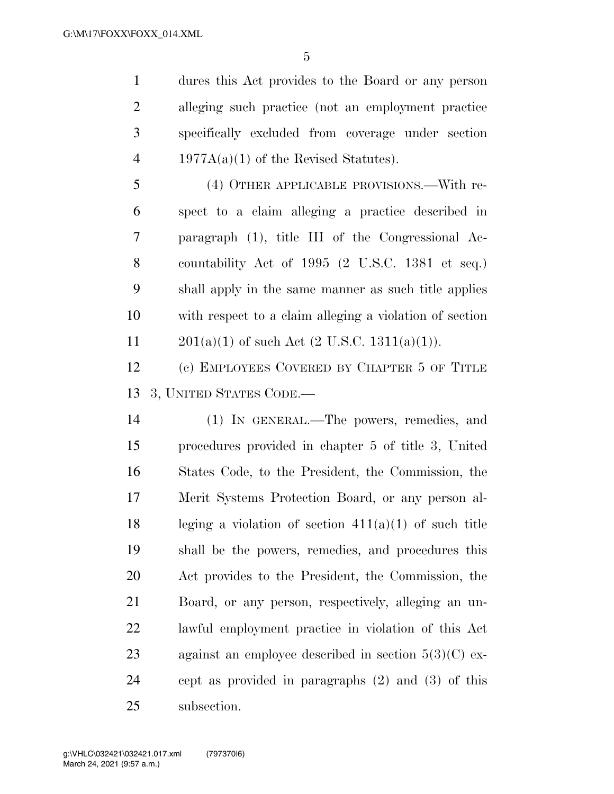dures this Act provides to the Board or any person alleging such practice (not an employment practice specifically excluded from coverage under section 4 1977A(a)(1) of the Revised Statutes).

 (4) OTHER APPLICABLE PROVISIONS.—With re- spect to a claim alleging a practice described in paragraph (1), title III of the Congressional Ac- countability Act of 1995 (2 U.S.C. 1381 et seq.) shall apply in the same manner as such title applies with respect to a claim alleging a violation of section  $201(a)(1)$  of such Act  $(2 \text{ U.S.C. } 1311(a)(1))$ .

 (c) EMPLOYEES COVERED BY CHAPTER 5 OF TITLE 3, UNITED STATES CODE.—

 (1) IN GENERAL.—The powers, remedies, and procedures provided in chapter 5 of title 3, United States Code, to the President, the Commission, the Merit Systems Protection Board, or any person al-18 leging a violation of section  $411(a)(1)$  of such title shall be the powers, remedies, and procedures this Act provides to the President, the Commission, the Board, or any person, respectively, alleging an un- lawful employment practice in violation of this Act 23 against an employee described in section  $5(3)(C)$  ex- cept as provided in paragraphs (2) and (3) of this subsection.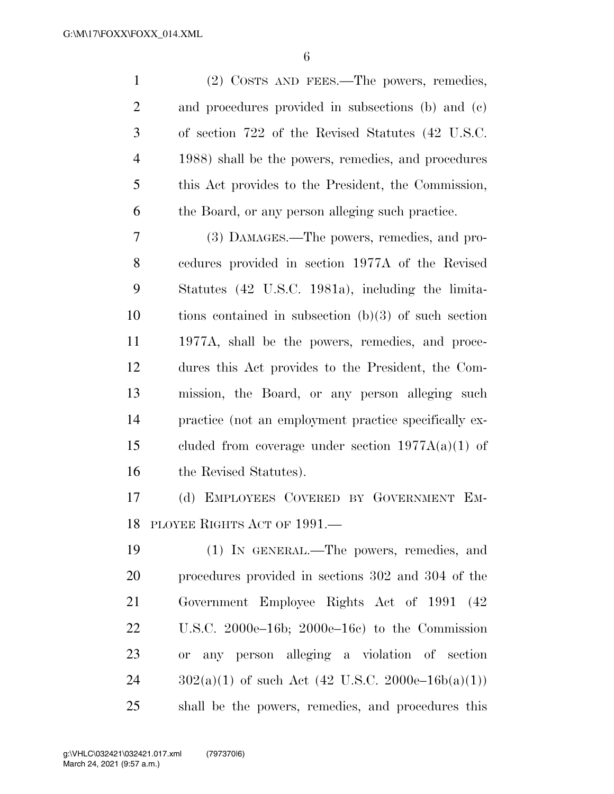| $\mathbf{1}$   | (2) COSTS AND FEES.—The powers, remedies,              |
|----------------|--------------------------------------------------------|
| $\overline{2}$ | and procedures provided in subsections (b) and (c)     |
| 3              | of section 722 of the Revised Statutes (42 U.S.C.      |
| $\overline{4}$ | 1988) shall be the powers, remedies, and procedures    |
| 5              | this Act provides to the President, the Commission,    |
| 6              | the Board, or any person alleging such practice.       |
| 7              | (3) DAMAGES.—The powers, remedies, and pro-            |
| 8              | cedures provided in section 1977A of the Revised       |
| 9              | Statutes (42 U.S.C. 1981a), including the limita-      |
| 10             | tions contained in subsection $(b)(3)$ of such section |
| 11             | 1977A, shall be the powers, remedies, and proce-       |
| 12             | dures this Act provides to the President, the Com-     |
| 13             | mission, the Board, or any person alleging such        |
| 14             | practice (not an employment practice specifically ex-  |
| 15             | cluded from coverage under section $1977A(a)(1)$ of    |
| 16             | the Revised Statutes).                                 |
| 17             | (d) EMPLOYEES COVERED BY GOVERNMENT EM-                |
|                | 18 PLOYEE RIGHTS ACT OF 1991.-                         |
| 19             | (1) IN GENERAL.—The powers, remedies, and              |
| 20             | procedures provided in sections 302 and 304 of the     |
| 21             | Government Employee Rights Act of 1991 (42)            |
| 22             | U.S.C. 2000e–16b; 2000e–16c) to the Commission         |
| 23             | or any person alleging a violation of section          |
| 24             | $302(a)(1)$ of such Act (42 U.S.C. 2000e–16b(a)(1))    |
| 25             | shall be the powers, remedies, and procedures this     |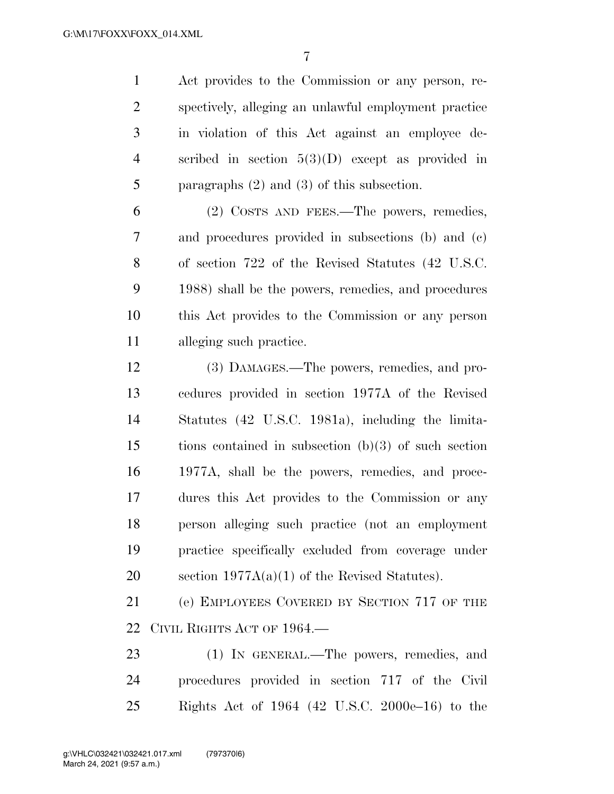Act provides to the Commission or any person, re- spectively, alleging an unlawful employment practice in violation of this Act against an employee de- scribed in section 5(3)(D) except as provided in paragraphs (2) and (3) of this subsection.

 (2) COSTS AND FEES.—The powers, remedies, and procedures provided in subsections (b) and (c) of section 722 of the Revised Statutes (42 U.S.C. 1988) shall be the powers, remedies, and procedures this Act provides to the Commission or any person alleging such practice.

 (3) DAMAGES.—The powers, remedies, and pro- cedures provided in section 1977A of the Revised Statutes (42 U.S.C. 1981a), including the limita- tions contained in subsection (b)(3) of such section 1977A, shall be the powers, remedies, and proce- dures this Act provides to the Commission or any person alleging such practice (not an employment practice specifically excluded from coverage under section 1977A(a)(1) of the Revised Statutes).

 (e) EMPLOYEES COVERED BY SECTION 717 OF THE CIVIL RIGHTS ACT OF 1964.—

23 (1) IN GENERAL.—The powers, remedies, and procedures provided in section 717 of the Civil Rights Act of 1964 (42 U.S.C. 2000e–16) to the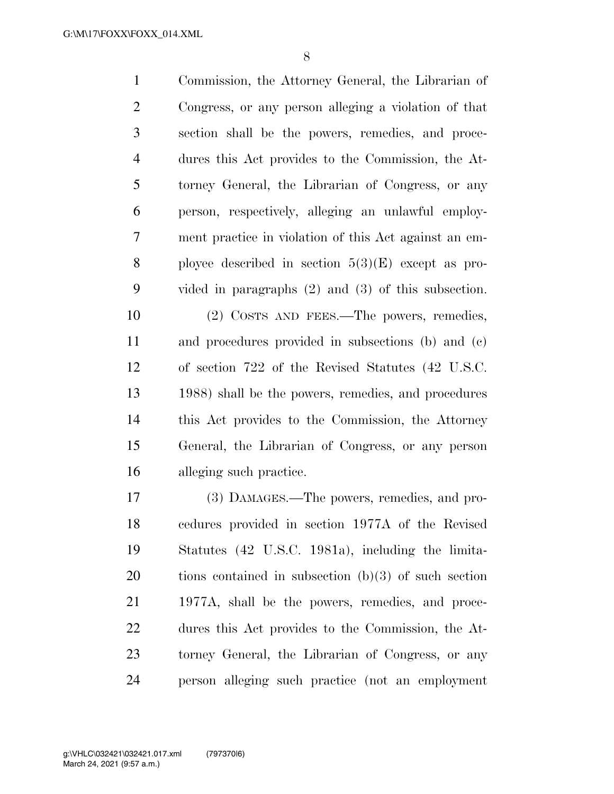Commission, the Attorney General, the Librarian of Congress, or any person alleging a violation of that section shall be the powers, remedies, and proce- dures this Act provides to the Commission, the At- torney General, the Librarian of Congress, or any person, respectively, alleging an unlawful employ- ment practice in violation of this Act against an em-8 ployee described in section  $5(3)(E)$  except as pro- vided in paragraphs (2) and (3) of this subsection. (2) COSTS AND FEES.—The powers, remedies, and procedures provided in subsections (b) and (c) of section 722 of the Revised Statutes (42 U.S.C.

 1988) shall be the powers, remedies, and procedures this Act provides to the Commission, the Attorney General, the Librarian of Congress, or any person alleging such practice.

 (3) DAMAGES.—The powers, remedies, and pro- cedures provided in section 1977A of the Revised Statutes (42 U.S.C. 1981a), including the limita- tions contained in subsection (b)(3) of such section 1977A, shall be the powers, remedies, and proce- dures this Act provides to the Commission, the At- torney General, the Librarian of Congress, or any person alleging such practice (not an employment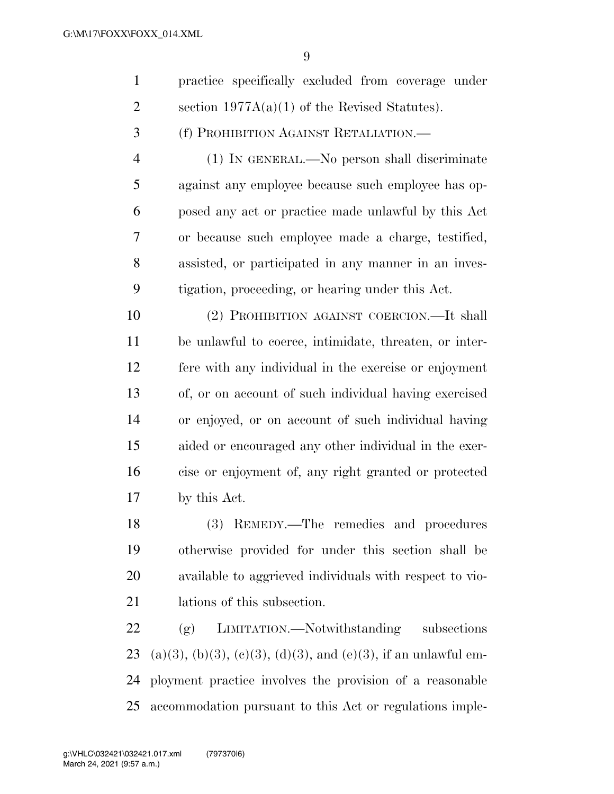$\overline{Q}$ 

| $\mathbf{1}$   | practice specifically excluded from coverage under     |
|----------------|--------------------------------------------------------|
| $\overline{2}$ | section $1977A(a)(1)$ of the Revised Statutes).        |
| 3              | (f) PROHIBITION AGAINST RETALIATION.                   |
| 4              | (1) IN GENERAL.—No person shall discriminate           |
| 5              | against any employee because such employee has op-     |
| 6              | posed any act or practice made unlawful by this Act    |
| 7              | or because such employee made a charge, testified,     |
| 8              | assisted, or participated in any manner in an inves-   |
| 9              | tigation, proceeding, or hearing under this Act.       |
| 10             | (2) PROHIBITION AGAINST COERCION.—It shall             |
| 11             | be unlawful to coerce, intimidate, threaten, or inter- |
|                |                                                        |

 fere with any individual in the exercise or enjoyment of, or on account of such individual having exercised or enjoyed, or on account of such individual having aided or encouraged any other individual in the exer- cise or enjoyment of, any right granted or protected by this Act.

 (3) REMEDY.—The remedies and procedures otherwise provided for under this section shall be available to aggrieved individuals with respect to vio-lations of this subsection.

 (g) LIMITATION.—Notwithstanding subsections 23 (a)(3), (b)(3), (c)(3), (d)(3), and (e)(3), if an unlawful em- ployment practice involves the provision of a reasonable accommodation pursuant to this Act or regulations imple-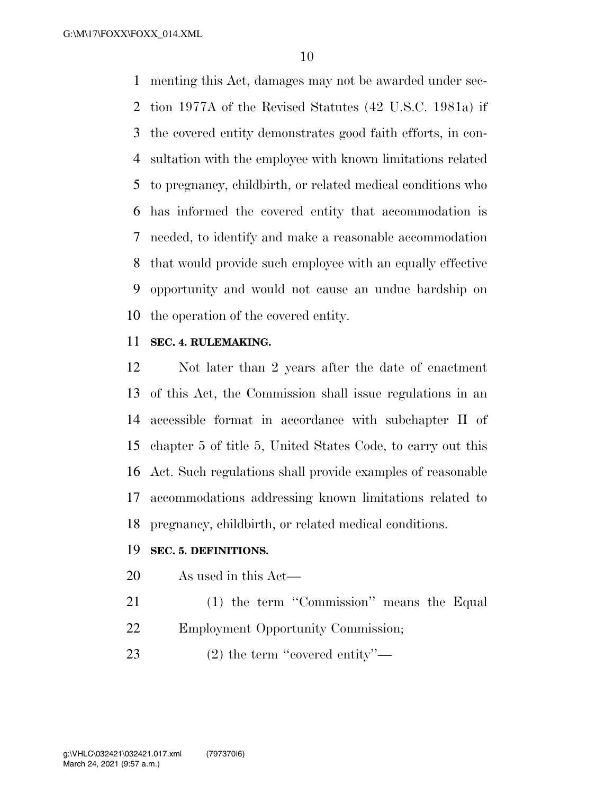menting this Act, damages may not be awarded under sec- tion 1977A of the Revised Statutes (42 U.S.C. 1981a) if the covered entity demonstrates good faith efforts, in con- sultation with the employee with known limitations related to pregnancy, childbirth, or related medical conditions who has informed the covered entity that accommodation is needed, to identify and make a reasonable accommodation that would provide such employee with an equally effective opportunity and would not cause an undue hardship on the operation of the covered entity.

#### **SEC. 4. RULEMAKING.**

 Not later than 2 years after the date of enactment of this Act, the Commission shall issue regulations in an accessible format in accordance with subchapter II of chapter 5 of title 5, United States Code, to carry out this Act. Such regulations shall provide examples of reasonable accommodations addressing known limitations related to pregnancy, childbirth, or related medical conditions.

#### **SEC. 5. DEFINITIONS.**

- As used in this Act—
- 21 (1) the term "Commission" means the Equal Employment Opportunity Commission;
- 23 (2) the term "covered entity"—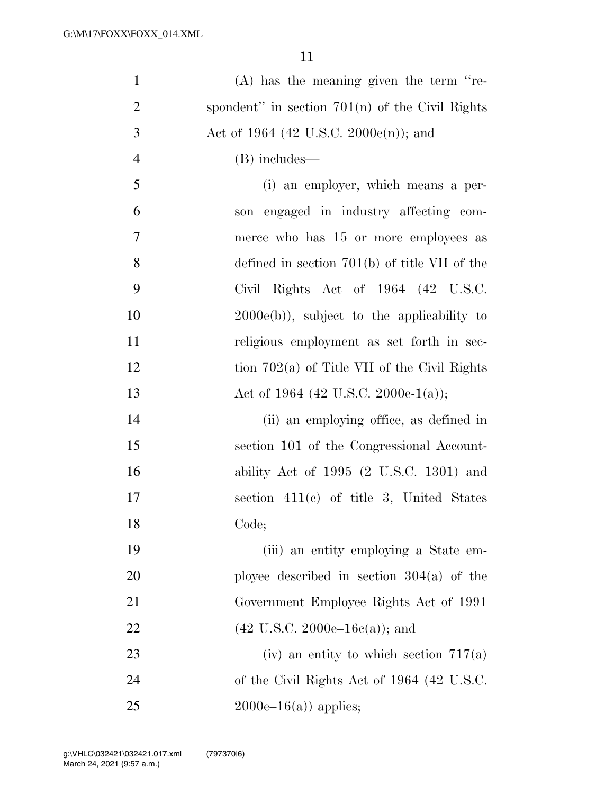| $\mathbf{1}$   | $(A)$ has the meaning given the term "re-         |
|----------------|---------------------------------------------------|
| $\overline{2}$ | spondent" in section $701(n)$ of the Civil Rights |
| 3              | Act of 1964 (42 U.S.C. 2000e(n)); and             |
| $\overline{4}$ | (B) includes—                                     |
| 5              | (i) an employer, which means a per-               |
| 6              | son engaged in industry affecting com-            |
| 7              | merce who has 15 or more employees as             |
| 8              | defined in section $701(b)$ of title VII of the   |
| 9              | Civil Rights Act of 1964 (42 U.S.C.               |
| 10             | $2000e(b)$ , subject to the applicability to      |
| 11             | religious employment as set forth in sec-         |
| 12             | tion $702(a)$ of Title VII of the Civil Rights    |
| 13             | Act of 1964 (42 U.S.C. 2000e-1(a));               |
| 14             | (ii) an employing office, as defined in           |
| 15             | section 101 of the Congressional Account-         |
| 16             | ability Act of $1995$ (2 U.S.C. 1301) and         |
| 17             | section $411(c)$ of title 3, United States        |
| 18             | Code;                                             |
| 19             | (iii) an entity employing a State em-             |
| 20             | ployee described in section $304(a)$ of the       |
| 21             | Government Employee Rights Act of 1991            |
| 22             | $(42 \text{ U.S.C. } 2000e-16c(a))$ ; and         |
| 23             | (iv) an entity to which section $717(a)$          |
| 24             | of the Civil Rights Act of 1964 (42 U.S.C.        |
| 25             | $2000e-16(a)$ applies;                            |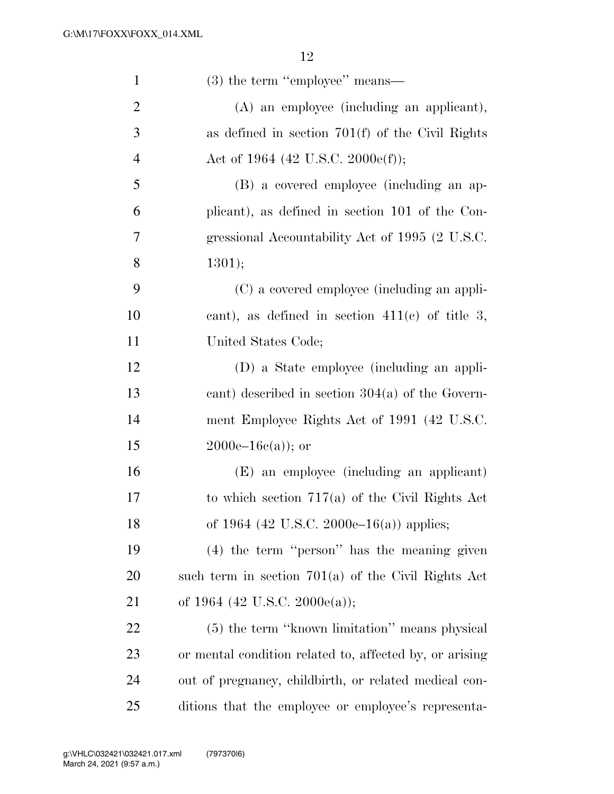| $\mathbf{1}$   | $(3)$ the term "employee" means—                        |
|----------------|---------------------------------------------------------|
| $\overline{2}$ | (A) an employee (including an applicant),               |
| 3              | as defined in section $701(f)$ of the Civil Rights      |
| $\overline{4}$ | Act of 1964 (42 U.S.C. 2000e(f));                       |
| 5              | (B) a covered employee (including an ap-                |
| 6              | plicant), as defined in section 101 of the Con-         |
| 7              | gressional Accountability Act of 1995 (2 U.S.C.         |
| 8              | 1301);                                                  |
| 9              | (C) a covered employee (including an appli-             |
| 10             | cant), as defined in section $411(c)$ of title 3,       |
| 11             | United States Code;                                     |
| 12             | (D) a State employee (including an appli-               |
| 13             | cant) described in section $304(a)$ of the Govern-      |
| 14             | ment Employee Rights Act of 1991 (42 U.S.C.             |
| 15             | $2000e-16c(a)$ ; or                                     |
| 16             | (E) an employee (including an applicant)                |
| 17             | to which section $717(a)$ of the Civil Rights Act       |
| 18             | of 1964 (42 U.S.C. 2000e–16(a)) applies;                |
| 19             | $(4)$ the term "person" has the meaning given           |
| 20             | such term in section $701(a)$ of the Civil Rights Act   |
| 21             | of 1964 (42 U.S.C. 2000 $e$ (a));                       |
| 22             | (5) the term "known limitation" means physical          |
| 23             | or mental condition related to, affected by, or arising |
| 24             | out of pregnancy, childbirth, or related medical con-   |
| 25             | ditions that the employee or employee's representa-     |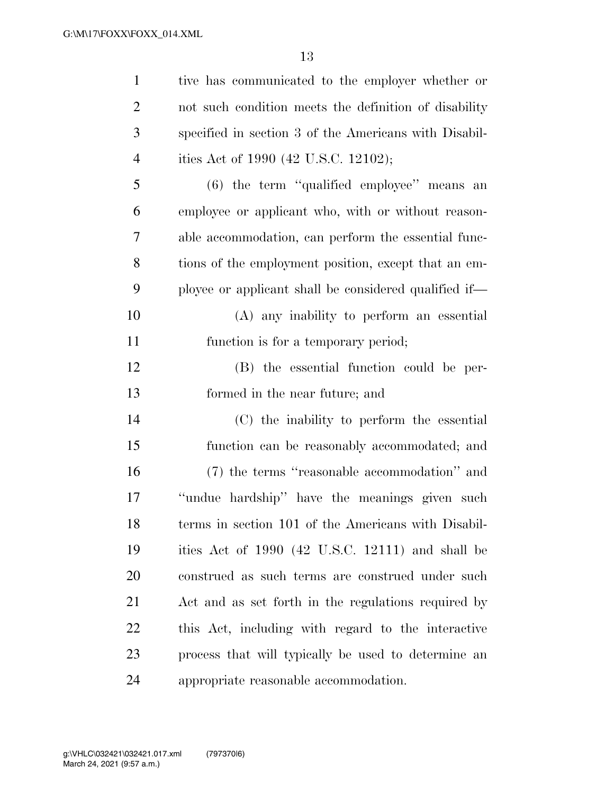| $\mathbf{1}$   | tive has communicated to the employer whether or      |
|----------------|-------------------------------------------------------|
| $\overline{2}$ | not such condition meets the definition of disability |
| 3              | specified in section 3 of the Americans with Disabil- |
| 4              | ities Act of 1990 (42 U.S.C. 12102);                  |
| 5              | $(6)$ the term "qualified employee" means an          |
| 6              | employee or applicant who, with or without reason-    |
| 7              | able accommodation, can perform the essential func-   |
| 8              | tions of the employment position, except that an em-  |
| 9              | ployee or applicant shall be considered qualified if— |
| 10             | (A) any inability to perform an essential             |
| 11             | function is for a temporary period;                   |
| 12             | (B) the essential function could be per-              |
| 13             | formed in the near future; and                        |
| 14             | (C) the inability to perform the essential            |
| 15             | function can be reasonably accommodated; and          |
| 16             | (7) the terms "reasonable accommodation" and          |
| 17             | "undue hardship" have the meanings given such         |
| 18             | terms in section 101 of the Americans with Disabil-   |
| 19             | ities Act of 1990 (42 U.S.C. 12111) and shall be      |
| 20             | construed as such terms are construed under such      |
| 21             | Act and as set forth in the regulations required by   |
| 22             | this Act, including with regard to the interactive    |
| 23             | process that will typically be used to determine an   |
| 24             | appropriate reasonable accommodation.                 |